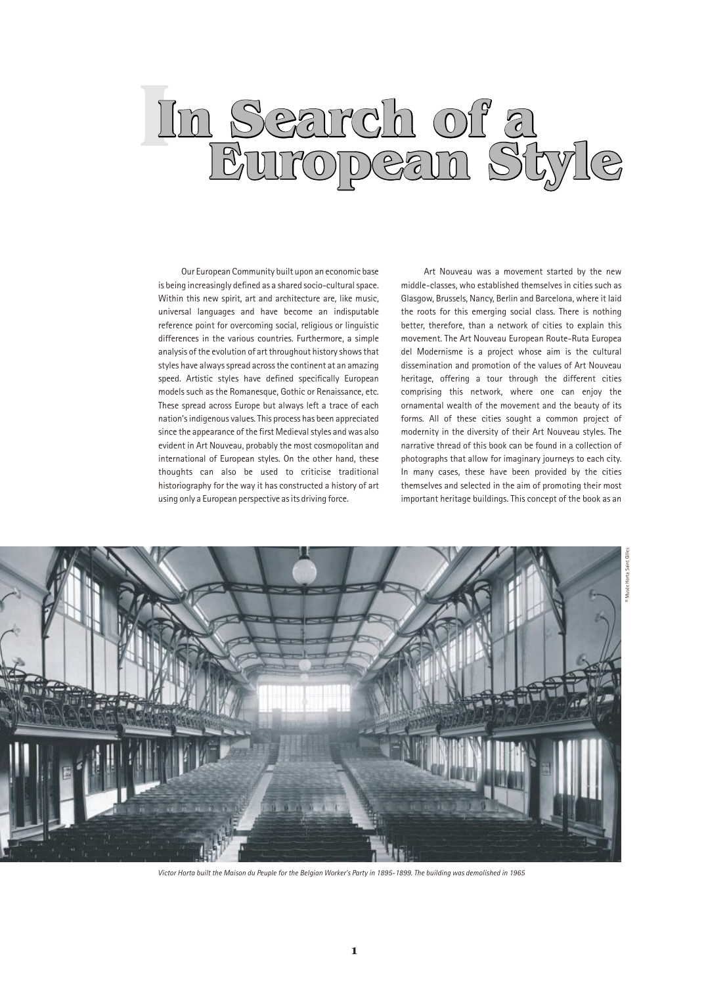## In Search of a European Style

Our European Community built upon an economic base is being increasingly defined as a shared socio-cultural space. Within this new spirit, art and architecture are, like music, universal languages and have become an indisputable reference point for overcoming social, religious or linguistic differences in the various countries. Furthermore, a simple analysis of the evolution of art throughout history shows that styles have always spread across the continent at an amazing speed. Artistic styles have defined specifically European models such as the Romanesque, Gothic or Renaissance, etc. These spread across Europe but always left a trace of each nation's indigenous values. This process has been appreciated since the appearance of the first Medieval styles and was also evident in Art Nouveau, probably the most cosmopolitan and international of European styles. On the other hand, these thoughts can also be used to criticise traditional historiography for the way it has constructed a history of art using only a European perspective as its driving force.

Art Nouveau was a movement started by the new middle-classes, who established themselves in cities such as Glasgow, Brussels, Nancy, Berlin and Barcelona, where it laid the roots for this emerging social class. There is nothing better, therefore, than a network of cities to explain this movement. The Art Nouveau European Route-Ruta Europea del Modernisme is a project whose aim is the cultural dissemination and promotion of the values of Art Nouveau heritage, offering a tour through the different cities comprising this network, where one can enjoy the ornamental wealth of the movement and the beauty of its forms. All of these cities sought a common project of modernity in the diversity of their Art Nouveau styles. The narrative thread of this book can be found in a collection of photographs that allow for imaginary journeys to each city. In many cases, these have been provided by the cities themselves and selected in the aim of promoting their most important heritage buildings. This concept of the book as an



Victor Horta built the Maison du Peuple for the Belgian Worker's Party in 1895-1899. The building was demolished in 1965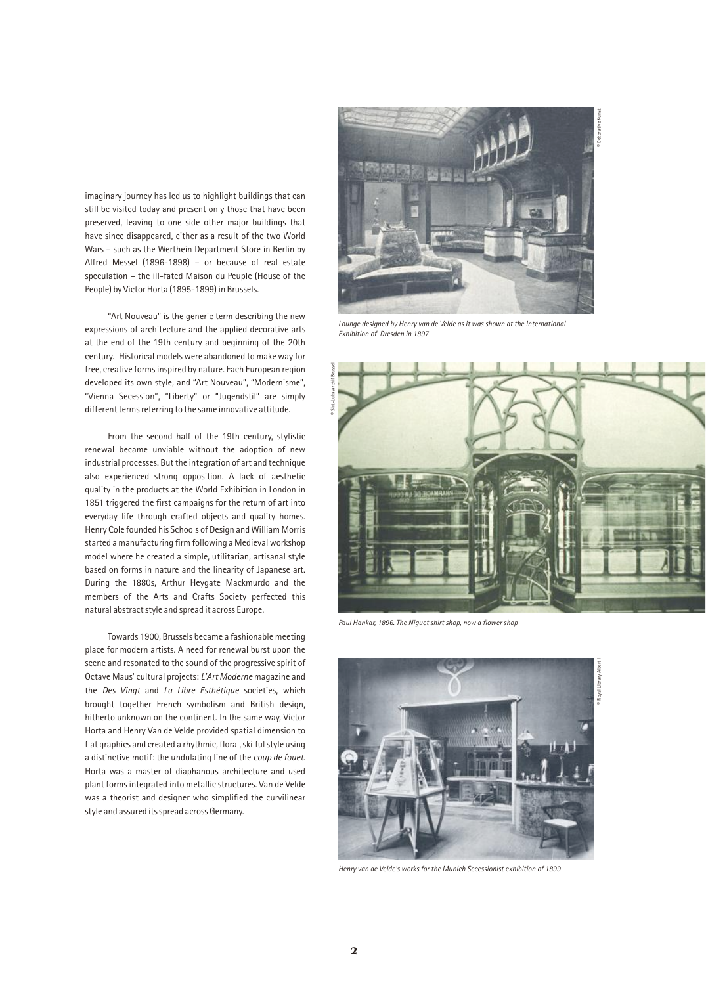imaginary journey has led us to highlight buildings that can still be visited today and present only those that have been preserved, leaving to one side other major buildings that have since disappeared, either as a result of the two World Wars – such as the Werthein Department Store in Berlin by Alfred Messel (1896-1898) – or because of real estate speculation – the ill-fated Maison du Peuple (House of the People) by Victor Horta (1895-1899) in Brussels.

"Art Nouveau" is the generic term describing the new expressions of architecture and the applied decorative arts at the end of the 19th century and beginning of the 20th century. Historical models were abandoned to make way for free, creative forms inspired by nature. Each European region developed its own style, and "Art Nouveau", "Modernisme", "Vienna Secession", "Liberty" or "Jugendstil" are simply different terms referring to the same innovative attitude.

From the second half of the 19th century, stylistic renewal became unviable without the adoption of new industrial processes. But the integration of art and technique also experienced strong opposition. A lack of aesthetic quality in the products at the World Exhibition in London in 1851 triggered the first campaigns for the return of art into everyday life through crafted objects and quality homes. Henry Cole founded his Schools of Design and William Morris started a manufacturing firm following a Medieval workshop model where he created a simple, utilitarian, artisanal style based on forms in nature and the linearity of Japanese art. During the 1880s, Arthur Heygate Mackmurdo and the members of the Arts and Crafts Society perfected this natural abstract style and spread it across Europe.

Towards 1900, Brussels became a fashionable meeting place for modern artists. A need for renewal burst upon the scene and resonated to the sound of the progressive spirit of Octave Maus' cultural projects: L'Art Moderne magazine and the Des Vingt and La Libre Esthétique societies, which brought together French symbolism and British design, hitherto unknown on the continent. In the same way, Victor Horta and Henry Van de Velde provided spatial dimension to flat graphics and created a rhythmic, floral, skilful style using a distinctive motif: the undulating line of the coup de fouet. Horta was a master of diaphanous architecture and used plant forms integrated into metallic structures. Van de Velde was a theorist and designer who simplified the curvilinear style and assured its spread across Germany.



Lounge designed by Henry van de Velde as it was shown at the International Exhibition of Dresden in 1897



Paul Hankar, 1896. The Niguet shirt shop, now a flower shop



Henry van de Velde's works for the Munich Secessionist exhibition of 1899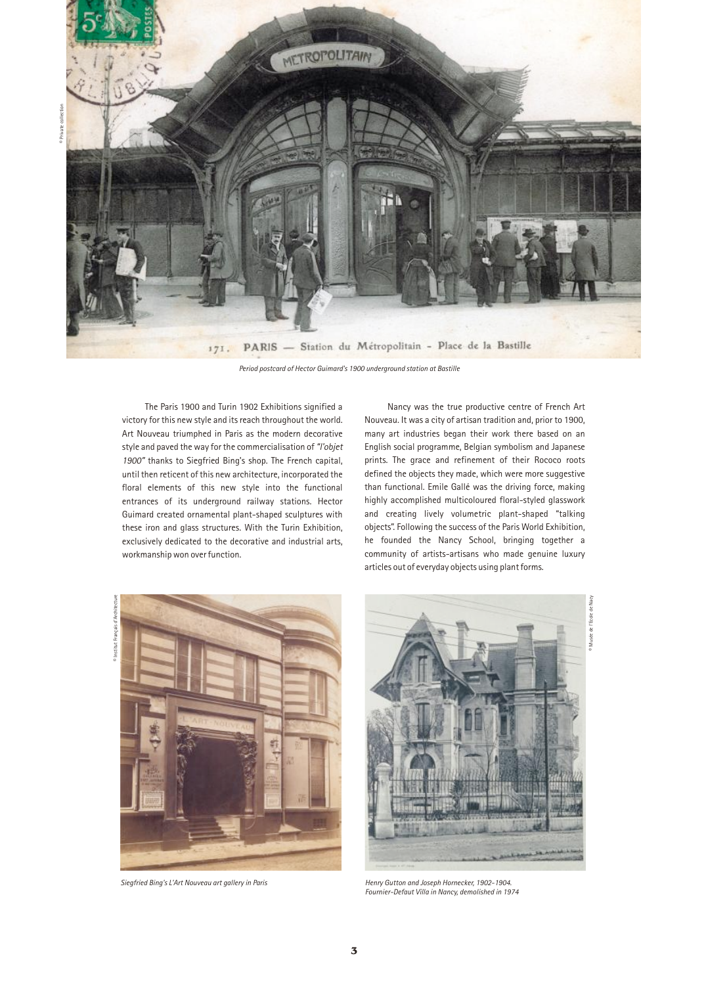

Period postcard of Hector Guimard's 1900 underground station at Bastille

The Paris 1900 and Turin 1902 Exhibitions signified a victory for this new style and its reach throughout the world. Art Nouveau triumphed in Paris as the modern decorative style and paved the way for the commercialisation of "l'objet 1900" thanks to Siegfried Bing's shop. The French capital, until then reticent of this new architecture, incorporated the floral elements of this new style into the functional entrances of its underground railway stations. Hector Guimard created ornamental plant-shaped sculptures with these iron and glass structures. With the Turin Exhibition, exclusively dedicated to the decorative and industrial arts, workmanship won over function.

Nancy was the true productive centre of French Art Nouveau. It was a city of artisan tradition and, prior to 1900, many art industries began their work there based on an English social programme, Belgian symbolism and Japanese prints. The grace and refinement of their Rococo roots defined the objects they made, which were more suggestive than functional. Emile Gallé was the driving force, making highly accomplished multicoloured floral-styled glasswork and creating lively volumetric plant-shaped "talking objects". Following the success of the Paris World Exhibition, he founded the Nancy School, bringing together a community of artists-artisans who made genuine luxury articles out of everyday objects using plant forms.







Siegfried Bing's L'Art Nouveau art gallery in Paris Henry Gutton and Joseph Hornecker, 1902-1904. Fournier-Defaut Villa in Nancy, demolished in 1974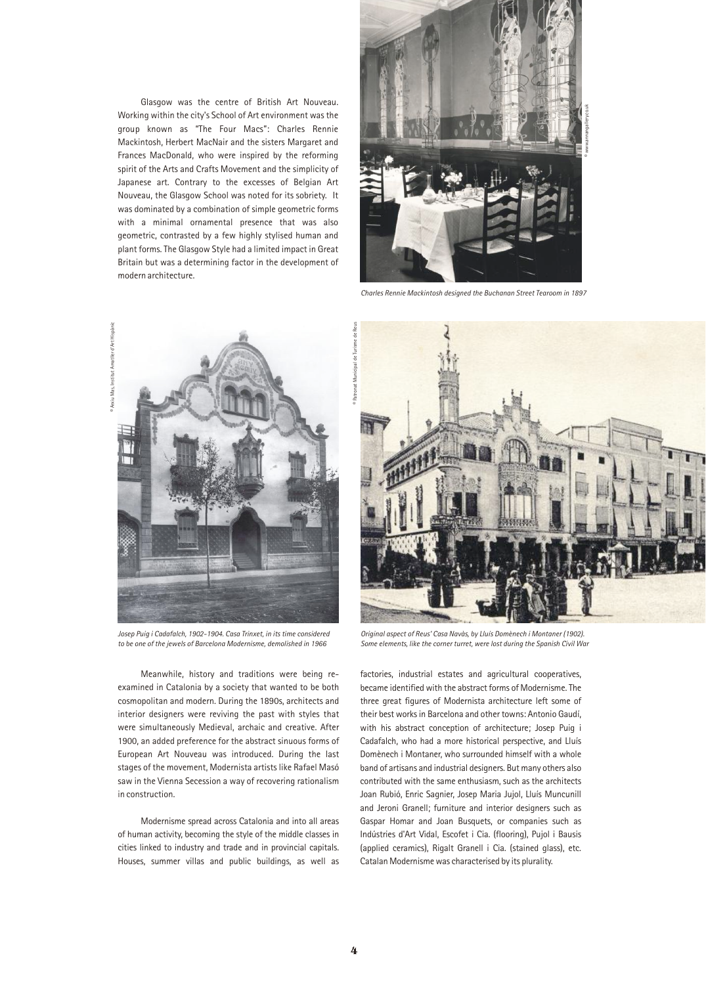Glasgow was the centre of British Art Nouveau. Working within the city's School of Art environment was the group known as "The Four Macs": Charles Rennie Mackintosh, Herbert MacNair and the sisters Margaret and Frances MacDonald, who were inspired by the reforming spirit of the Arts and Crafts Movement and the simplicity of Japanese art. Contrary to the excesses of Belgian Art Nouveau, the Glasgow School was noted for its sobriety. It was dominated by a combination of simple geometric forms with a minimal ornamental presence that was also geometric, contrasted by a few highly stylised human and plant forms. The Glasgow Style had a limited impact in Great Britain but was a determining factor in the development of modern architecture.



Charles Rennie Mackintosh designed the Buchanan Street Tearoom in 1897



©

M<sub>a</sub>

Arxiu Mas, Institut Amatller d'Art Hispànic

Josep Puig i Cadafalch, 1902-1904. Casa Trinxet, in its time considered to be one of the jewels of Barcelona Modernisme, demolished in 1966

Meanwhile, history and traditions were being reexamined in Catalonia by a society that wanted to be both cosmopolitan and modern. During the 1890s, architects and interior designers were reviving the past with styles that were simultaneously Medieval, archaic and creative. After 1900, an added preference for the abstract sinuous forms of European Art Nouveau was introduced. During the last stages of the movement, Modernista artists like Rafael Masó saw in the Vienna Secession a way of recovering rationalism in construction.

Modernisme spread across Catalonia and into all areas of human activity, becoming the style of the middle classes in cities linked to industry and trade and in provincial capitals. Houses, summer villas and public buildings, as well as



Original aspect of Reus' Casa Navàs, by Lluís Domènech i Montaner (1902). Some elements, like the corner turret, were lost during the Spanish Civil War

factories, industrial estates and agricultural cooperatives, became identified with the abstract forms of Modernisme. The three great figures of Modernista architecture left some of their best works in Barcelona and other towns: Antonio Gaudí, with his abstract conception of architecture; Josep Puig i Cadafalch, who had a more historical perspective, and Lluís Domènech i Montaner, who surrounded himself with a whole band of artisans and industrial designers. But many others also contributed with the same enthusiasm, such as the architects Joan Rubió, Enric Sagnier, Josep Maria Jujol, Lluís Muncunill and Jeroni Granell; furniture and interior designers such as Gaspar Homar and Joan Busquets, or companies such as Indústries d'Art Vidal, Escofet i Cia. (flooring), Pujol i Bausis (applied ceramics), Rigalt Granell i Cia. (stained glass), etc. Catalan Modernisme was characterised by its plurality.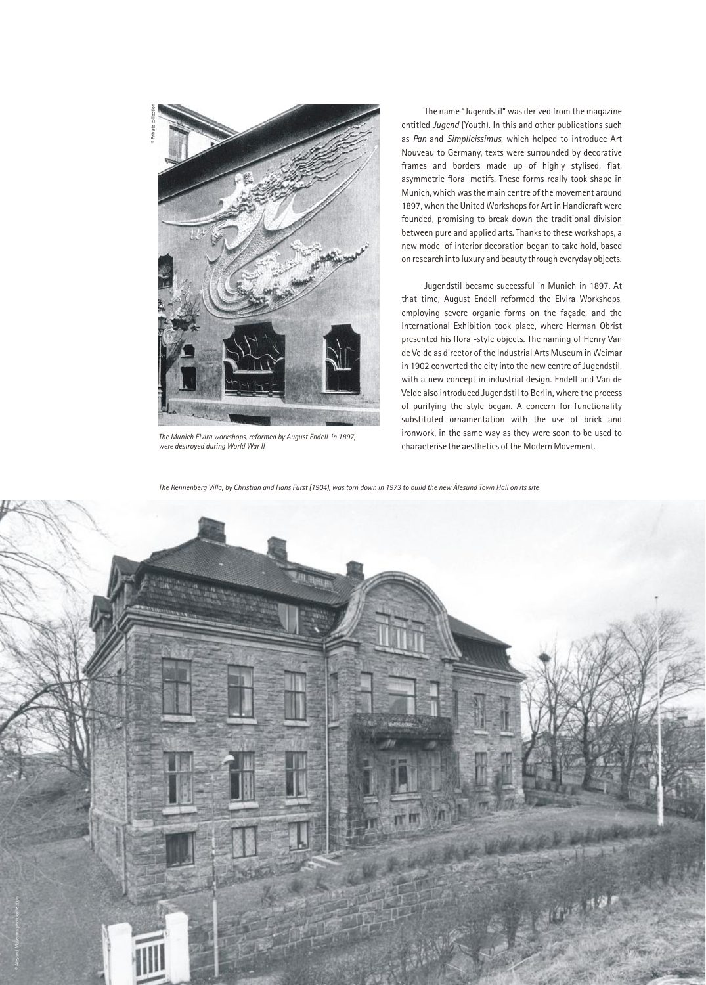

The Munich Elvira workshops, reformed by August Endell in 1897, were destroyed during World War II

The name "Jugendstil" was derived from the magazine entitled Jugend (Youth). In this and other publications such as Pan and Simplicissimus, which helped to introduce Art Nouveau to Germany, texts were surrounded by decorative frames and borders made up of highly stylised, flat, asymmetric floral motifs. These forms really took shape in Munich, which was the main centre of the movement around 1897, when the United Workshops for Art in Handicraft were founded, promising to break down the traditional division between pure and applied arts. Thanks to these workshops, a new model of interior decoration began to take hold, based on research into luxury and beauty through everyday objects.

Jugendstil became successful in Munich in 1897. At that time, August Endell reformed the Elvira Workshops, employing severe organic forms on the façade, and the International Exhibition took place, where Herman Obrist presented his floral-style objects. The naming of Henry Van de Velde as director of the Industrial Arts Museum in Weimar in 1902 converted the city into the new centre of Jugendstil, with a new concept in industrial design. Endell and Van de Velde also introduced Jugendstil to Berlin, where the process of purifying the style began. A concern for functionality substituted ornamentation with the use of brick and ironwork, in the same way as they were soon to be used to characterise the aesthetics of the Modern Movement.

The Rennenberg Villa, by Christian and Hans Fürst (1904), was torn down in 1973 to build the new Ålesund Town Hall on its site

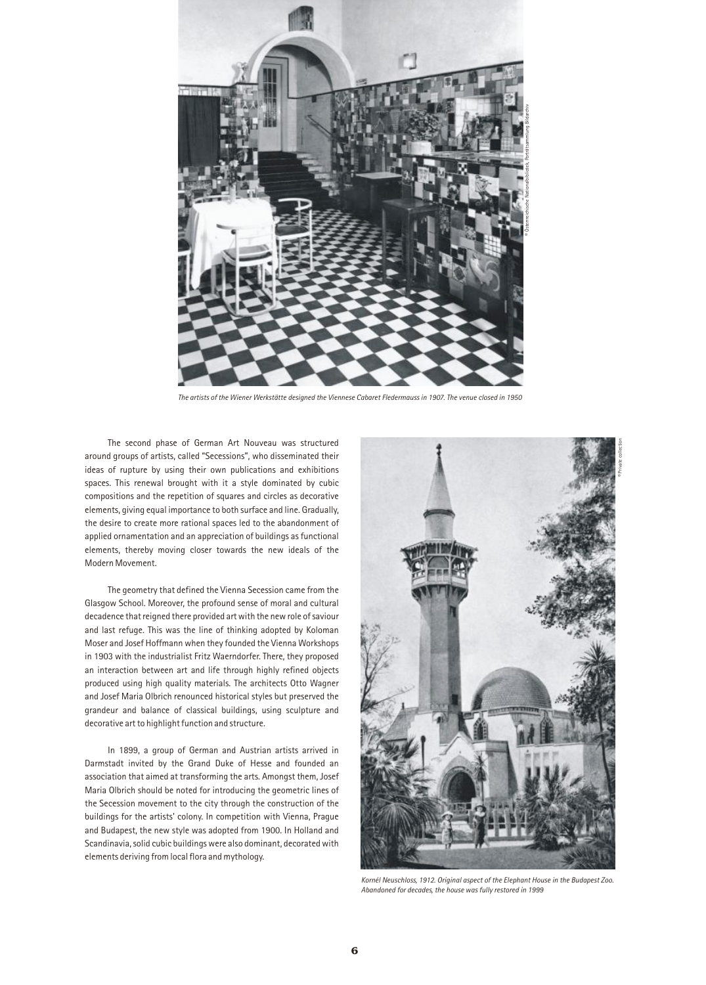

The artists of the Wiener Werkstätte designed the Viennese Cabaret Fledermauss in 1907. The venue closed in 1950

The second phase of German Art Nouveau was structured around groups of artists, called "Secessions", who disseminated their ideas of rupture by using their own publications and exhibitions spaces. This renewal brought with it a style dominated by cubic compositions and the repetition of squares and circles as decorative elements, giving equal importance to both surface and line. Gradually, the desire to create more rational spaces led to the abandonment of applied ornamentation and an appreciation of buildings as functional elements, thereby moving closer towards the new ideals of the Modern Movement.

The geometry that defined the Vienna Secession came from the Glasgow School. Moreover, the profound sense of moral and cultural decadence that reigned there provided art with the new role of saviour and last refuge. This was the line of thinking adopted by Koloman Moser and Josef Hoffmann when they founded the Vienna Workshops in 1903 with the industrialist Fritz Waerndorfer. There, they proposed an interaction between art and life through highly refined objects produced using high quality materials. The architects Otto Wagner and Josef Maria Olbrich renounced historical styles but preserved the grandeur and balance of classical buildings, using sculpture and decorative art to highlight function and structure.

In 1899, a group of German and Austrian artists arrived in Darmstadt invited by the Grand Duke of Hesse and founded an association that aimed at transforming the arts. Amongst them, Josef Maria Olbrich should be noted for introducing the geometric lines of the Secession movement to the city through the construction of the buildings for the artists' colony. In competition with Vienna, Prague and Budapest, the new style was adopted from 1900. In Holland and Scandinavia, solid cubic buildings were also dominant, decorated with elements deriving from local flora and mythology.

![](_page_5_Picture_5.jpeg)

Kornél Neuschloss, 1912. Original aspect of the Elephant House in the Budapest Zoo. Abandoned for decades, the house was fully restored in 1999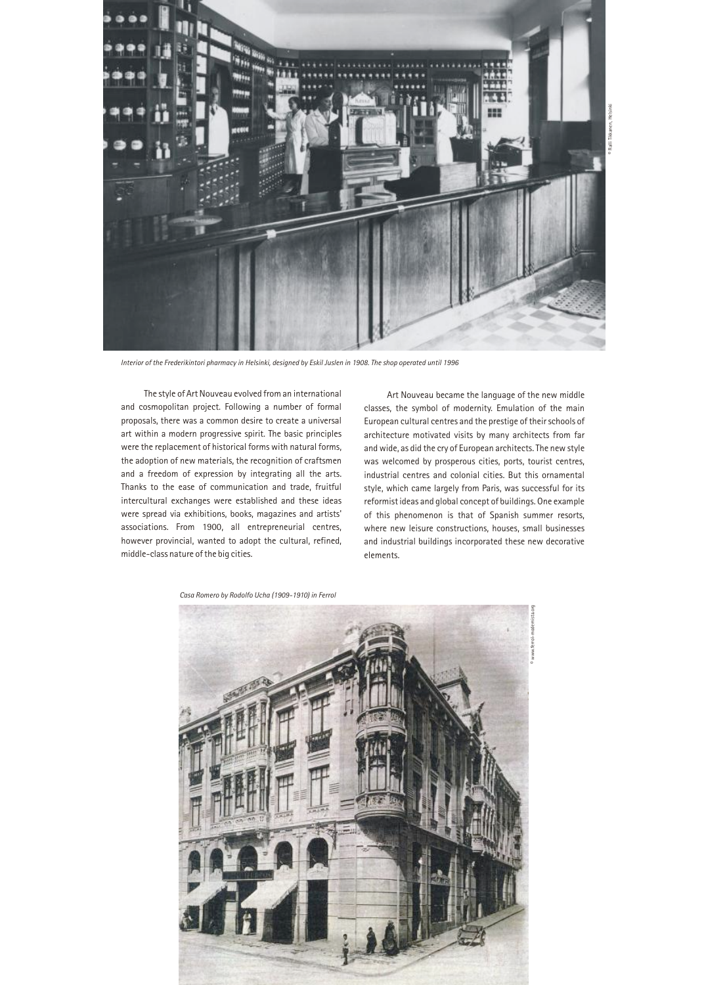![](_page_6_Picture_0.jpeg)

Interior of the Frederikintori pharmacy in Helsinki, designed by Eskil Juslen in 1908. The shop operated until 1996

The style of Art Nouveau evolved from an international and cosmopolitan project. Following a number of formal proposals, there was a common desire to create a universal art within a modern progressive spirit. The basic principles were the replacement of historical forms with natural forms, the adoption of new materials, the recognition of craftsmen and a freedom of expression by integrating all the arts. Thanks to the ease of communication and trade, fruitful intercultural exchanges were established and these ideas were spread via exhibitions, books, magazines and artists' associations. From 1900, all entrepreneurial centres, however provincial, wanted to adopt the cultural, refined, middle-class nature of the big cities.

Art Nouveau became the language of the new middle classes, the symbol of modernity. Emulation of the main European cultural centres and the prestige of their schools of architecture motivated visits by many architects from far and wide, as did the cry of European architects. The new style was welcomed by prosperous cities, ports, tourist centres, industrial centres and colonial cities. But this ornamental style, which came largely from Paris, was successful for its reformist ideas and global concept of buildings. One example of this phenomenon is that of Spanish summer resorts, where new leisure constructions, houses, small businesses and industrial buildings incorporated these new decorative elements.

![](_page_6_Picture_4.jpeg)

Casa Romero by Rodolfo Ucha (1909-1910) in Ferrol